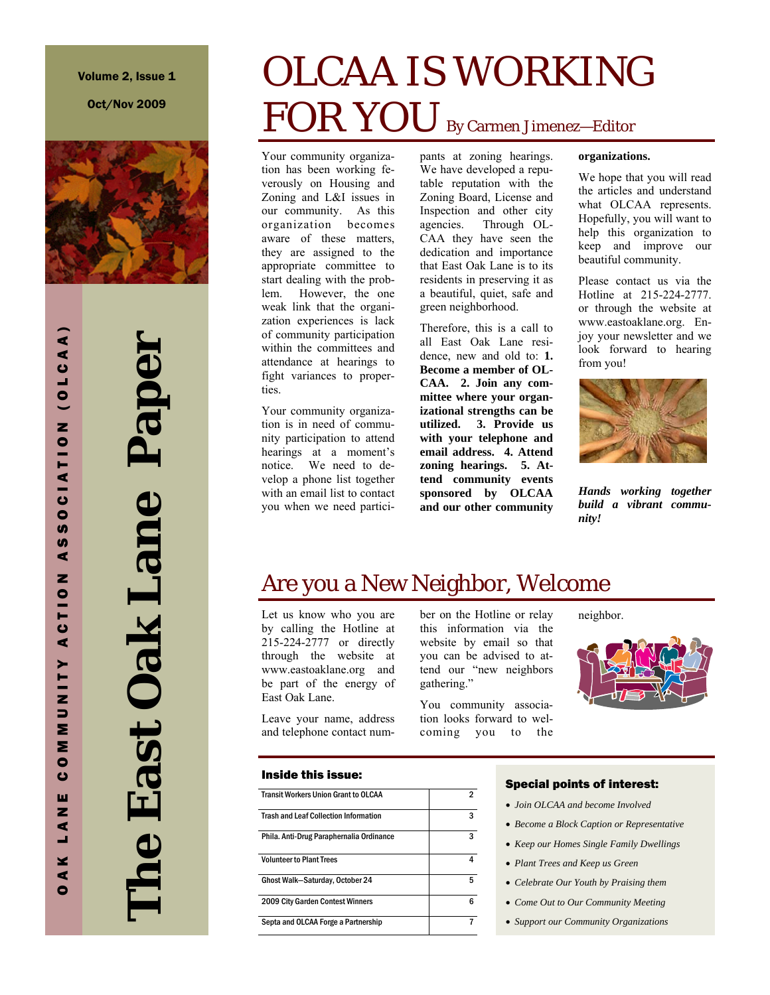Oct/Nov 2009



# **The East Oak Lane Paper**  The East Oak Lane Paper

# OLCAA IS WORKING FOR YOU By Carmen Jimenez-Editor

Your community organization has been working feverously on Housing and Zoning and L&I issues in our community. As this organization becomes aware of these matters, they are assigned to the appropriate committee to start dealing with the problem. However, the one weak link that the organization experiences is lack of community participation within the committees and attendance at hearings to fight variances to properties.

Your community organization is in need of community participation to attend hearings at a moment's notice. We need to develop a phone list together with an email list to contact you when we need participants at zoning hearings. We have developed a reputable reputation with the Zoning Board, License and Inspection and other city agencies. Through OL-CAA they have seen the dedication and importance that East Oak Lane is to its residents in preserving it as a beautiful, quiet, safe and green neighborhood.

Therefore, this is a call to all East Oak Lane residence, new and old to: **1. Become a member of OL-CAA. 2. Join any committee where your organizational strengths can be utilized. 3. Provide us with your telephone and email address. 4. Attend zoning hearings. 5. Attend community events sponsored by OLCAA and our other community** 

### **organizations.**

We hope that you will read the articles and understand what OLCAA represents. Hopefully, you will want to help this organization to keep and improve our beautiful community.

Please contact us via the Hotline at 215-224-2777. or through the website at www.eastoaklane.org. Enjoy your newsletter and we look forward to hearing from you!



*Hands working together build a vibrant community!* 

# Are you a New Neighbor, Welcome

Let us know who you are by calling the Hotline at 215-224-2777 or directly through the website at www.eastoaklane.org and be part of the energy of East Oak Lane.

Leave your name, address and telephone contact num-

# Inside this issue:

| <b>Transit Workers Union Grant to OI CAA</b> | 2 |
|----------------------------------------------|---|
| <b>Trash and Leaf Collection Information</b> | 3 |
| Phila. Anti-Drug Paraphernalia Ordinance     | 3 |
| <b>Volunteer to Plant Trees</b>              | 4 |
| Ghost Walk-Saturday, October 24              | 5 |
| <b>2009 City Garden Contest Winners</b>      | 6 |
| Septa and OLCAA Forge a Partnership          |   |

ber on the Hotline or relay this information via the website by email so that you can be advised to attend our "new neighbors gathering."

You community association looks forward to welcoming you to the neighbor.



### Special points of interest:

- *Join OLCAA and become Involved*
- *Become a Block Caption or Representative*
- *Keep our Homes Single Family Dwellings*
- *Plant Trees and Keep us Green*
- *Celebrate Our Youth by Praising them*
- *Come Out to Our Community Meeting*
- *Support our Community Organizations*

OAK LANE COMMUNITY ACTION ASSOCIATION (OLCAA) **S**  $\blacktriangleleft$ z MMUNITY ACTIO  $\bullet$  $\mathbf{c}$ ш z  $\blacktriangleleft$ ц. ¥  $\blacktriangleleft$ 

 $\bullet$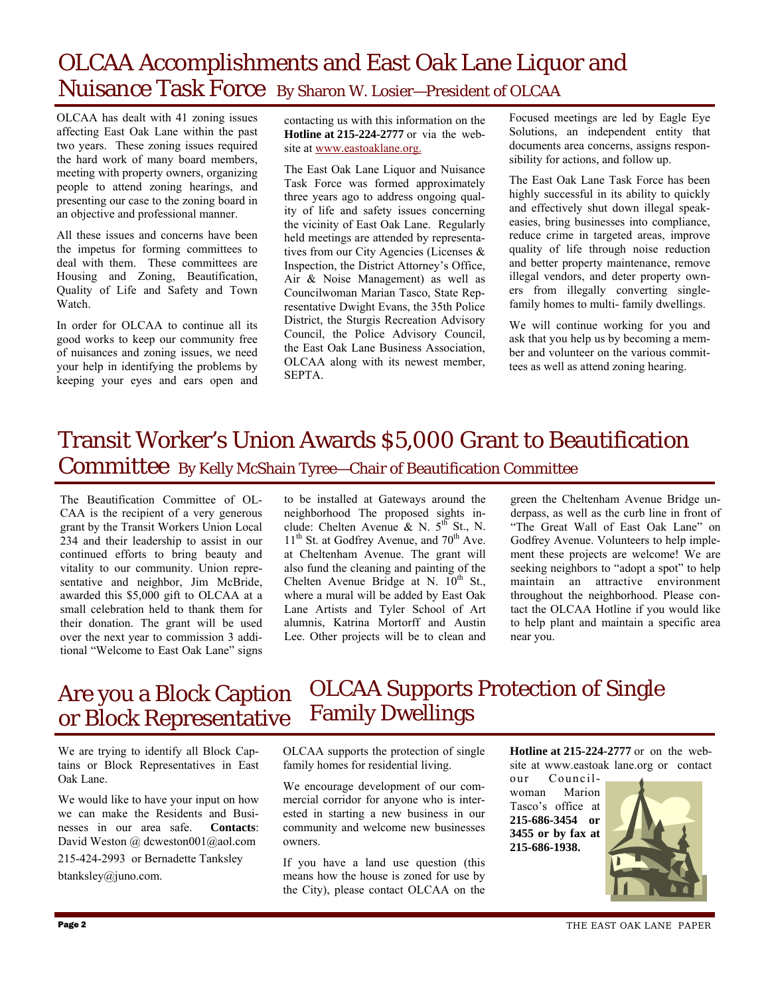# OLCAA Accomplishments and East Oak Lane Liquor and Nuisance Task Force By Sharon W. Losier—President of OLCAA

OLCAA has dealt with 41 zoning issues affecting East Oak Lane within the past two years. These zoning issues required the hard work of many board members, meeting with property owners, organizing people to attend zoning hearings, and presenting our case to the zoning board in an objective and professional manner.

All these issues and concerns have been the impetus for forming committees to deal with them. These committees are Housing and Zoning, Beautification, Quality of Life and Safety and Town Watch.

In order for OLCAA to continue all its good works to keep our community free of nuisances and zoning issues, we need your help in identifying the problems by keeping your eyes and ears open and

contacting us with this information on the **Hotline at 215-224-2777** or via the website at www.eastoaklane.org.

The East Oak Lane Liquor and Nuisance Task Force was formed approximately three years ago to address ongoing quality of life and safety issues concerning the vicinity of East Oak Lane. Regularly held meetings are attended by representatives from our City Agencies (Licenses & Inspection, the District Attorney's Office, Air & Noise Management) as well as Councilwoman Marian Tasco, State Representative Dwight Evans, the 35th Police District, the Sturgis Recreation Advisory Council, the Police Advisory Council, the East Oak Lane Business Association, OLCAA along with its newest member, SEPTA.

Focused meetings are led by Eagle Eye Solutions, an independent entity that documents area concerns, assigns responsibility for actions, and follow up.

The East Oak Lane Task Force has been highly successful in its ability to quickly and effectively shut down illegal speakeasies, bring businesses into compliance, reduce crime in targeted areas, improve quality of life through noise reduction and better property maintenance, remove illegal vendors, and deter property owners from illegally converting singlefamily homes to multi- family dwellings.

We will continue working for you and ask that you help us by becoming a member and volunteer on the various committees as well as attend zoning hearing.

### Transit Worker's Union Awards \$5,000 Grant to Beautification Committee By Kelly McShain Tyree—Chair of Beautification Committee

The Beautification Committee of OL-CAA is the recipient of a very generous grant by the Transit Workers Union Local 234 and their leadership to assist in our continued efforts to bring beauty and vitality to our community. Union representative and neighbor, Jim McBride, awarded this \$5,000 gift to OLCAA at a small celebration held to thank them for their donation. The grant will be used over the next year to commission 3 additional "Welcome to East Oak Lane" signs to be installed at Gateways around the neighborhood The proposed sights include: Chelten Avenue  $\&$  N.  $5^{th}$  St., N.  $11<sup>th</sup>$  St. at Godfrey Avenue, and  $70<sup>th</sup>$  Ave. at Cheltenham Avenue. The grant will also fund the cleaning and painting of the Chelten Avenue Bridge at N.  $10^{th}$  St., where a mural will be added by East Oak Lane Artists and Tyler School of Art alumnis, Katrina Mortorff and Austin Lee. Other projects will be to clean and green the Cheltenham Avenue Bridge underpass, as well as the curb line in front of "The Great Wall of East Oak Lane" on Godfrey Avenue. Volunteers to help implement these projects are welcome! We are seeking neighbors to "adopt a spot" to help maintain an attractive environment throughout the neighborhood. Please contact the OLCAA Hotline if you would like to help plant and maintain a specific area near you.

### Are you a Block Caption or Block Representative OLCAA Supports Protection of Single Family Dwellings

We are trying to identify all Block Captains or Block Representatives in East Oak Lane.

We would like to have your input on how we can make the Residents and Businesses in our area safe. Contacts: nesses in our area safe. David Weston @ dcweston001@aol.com

215-424-2993 or Bernadette Tanksley btanksley@juno.com.

OLCAA supports the protection of single family homes for residential living.

We encourage development of our commercial corridor for anyone who is interested in starting a new business in our community and welcome new businesses owners.

If you have a land use question (this means how the house is zoned for use by the City), please contact OLCAA on the **Hotline at 215-224-2777** or on the website at www.eastoak lane.org or contact

our Councilwoman Marion Tasco's office at **215-686-3454 or 3455 or by fax at 215-686-1938.** 

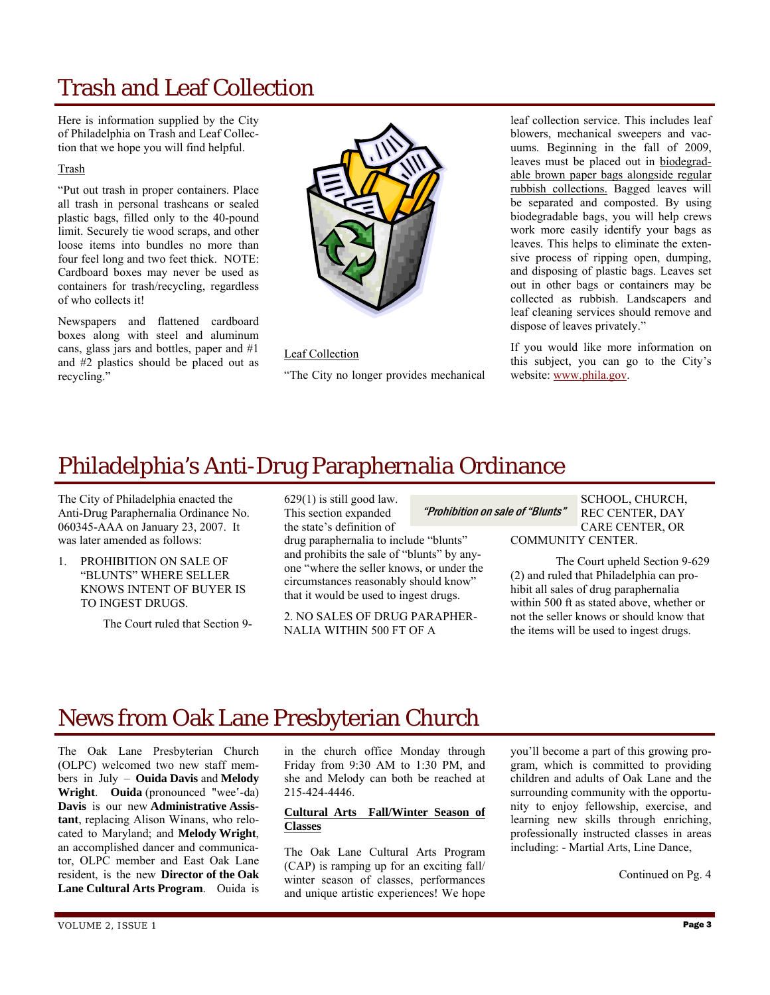# Trash and Leaf Collection

Here is information supplied by the City of Philadelphia on Trash and Leaf Collection that we hope you will find helpful.

### Trash

"Put out trash in proper containers. Place all trash in personal trashcans or sealed plastic bags, filled only to the 40-pound limit. Securely tie wood scraps, and other loose items into bundles no more than four feel long and two feet thick. NOTE: Cardboard boxes may never be used as containers for trash/recycling, regardless of who collects it!

Newspapers and flattened cardboard boxes along with steel and aluminum cans, glass jars and bottles, paper and #1 and #2 plastics should be placed out as recycling."



Leaf Collection

"The City no longer provides mechanical

leaf collection service. This includes leaf blowers, mechanical sweepers and vacuums. Beginning in the fall of 2009, leaves must be placed out in biodegradable brown paper bags alongside regular rubbish collections. Bagged leaves will be separated and composted. By using biodegradable bags, you will help crews work more easily identify your bags as leaves. This helps to eliminate the extensive process of ripping open, dumping, and disposing of plastic bags. Leaves set out in other bags or containers may be collected as rubbish. Landscapers and leaf cleaning services should remove and dispose of leaves privately."

If you would like more information on this subject, you can go to the City's website: www.phila.gov.

# Philadelphia's Anti-Drug Paraphernalia Ordinance

The City of Philadelphia enacted the Anti-Drug Paraphernalia Ordinance No. 060345-AAA on January 23, 2007. It was later amended as follows:

1. PROHIBITION ON SALE OF "BLUNTS" WHERE SELLER KNOWS INTENT OF BUYER IS TO INGEST DRUGS.

The Court ruled that Section 9-

629(1) is still good law. This section expanded the state's definition of

drug paraphernalia to include "blunts" and prohibits the sale of "blunts" by anyone "where the seller knows, or under the circumstances reasonably should know" that it would be used to ingest drugs.

2. NO SALES OF DRUG PARAPHER-NALIA WITHIN 500 FT OF A

"Prohibition on sale of "Blunts"

SCHOOL, CHURCH, REC CENTER, DAY CARE CENTER, OR COMMUNITY CENTER.

 The Court upheld Section 9-629 (2) and ruled that Philadelphia can prohibit all sales of drug paraphernalia within 500 ft as stated above, whether or not the seller knows or should know that the items will be used to ingest drugs.

# News from Oak Lane Presbyterian Church

The Oak Lane Presbyterian Church (OLPC) welcomed two new staff members in July – **Ouida Davis** and **Melody Wright**. **Ouida** (pronounced "wee'-da) **Davis** is our new **Administrative Assistant**, replacing Alison Winans, who relocated to Maryland; and **Melody Wright**, an accomplished dancer and communicator, OLPC member and East Oak Lane resident, is the new **Director of the Oak Lane Cultural Arts Program**. Ouida is

in the church office Monday through Friday from 9:30 AM to 1:30 PM, and she and Melody can both be reached at 215-424-4446.

### **Cultural Arts Fall/Winter Season of Classes**

The Oak Lane Cultural Arts Program (CAP) is ramping up for an exciting fall/ winter season of classes, performances and unique artistic experiences! We hope you'll become a part of this growing program, which is committed to providing children and adults of Oak Lane and the surrounding community with the opportunity to enjoy fellowship, exercise, and learning new skills through enriching, professionally instructed classes in areas including: - Martial Arts, Line Dance,

Continued on Pg. 4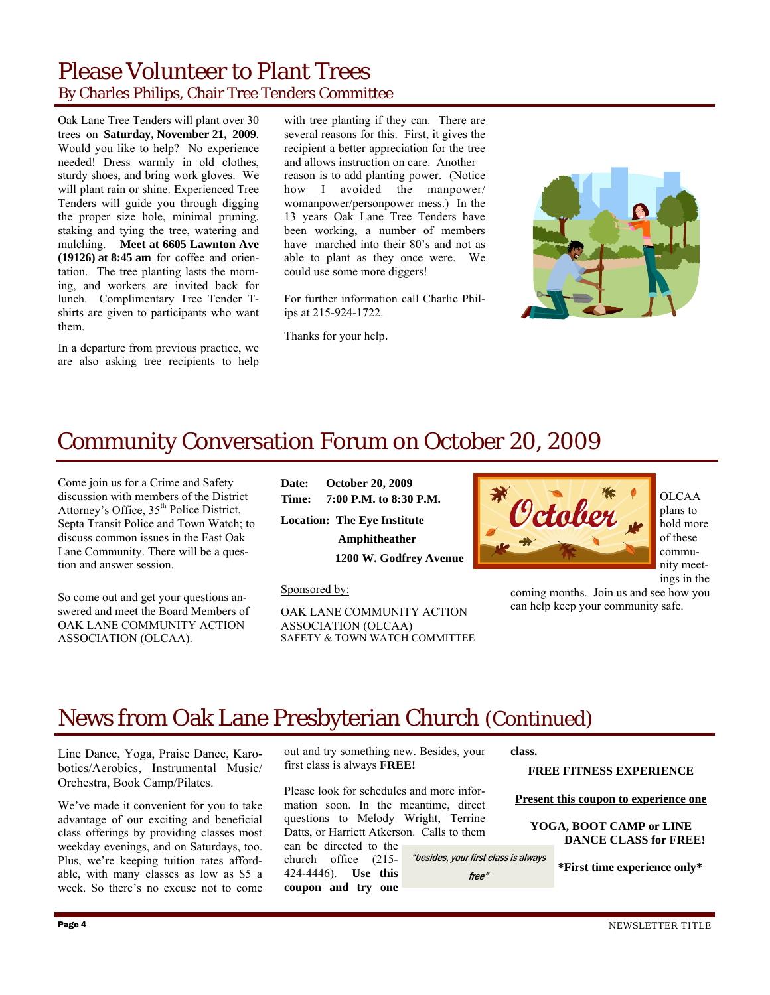### Please Volunteer to Plant Trees By Charles Philips, Chair Tree Tenders Committee

Oak Lane Tree Tenders will plant over 30 trees on **Saturday, November 21, 2009**. Would you like to help? No experience needed! Dress warmly in old clothes, sturdy shoes, and bring work gloves. We will plant rain or shine. Experienced Tree Tenders will guide you through digging the proper size hole, minimal pruning, staking and tying the tree, watering and mulching. **Meet at 6605 Lawnton Ave (19126) at 8:45 am** for coffee and orientation. The tree planting lasts the morning, and workers are invited back for lunch. Complimentary Tree Tender Tshirts are given to participants who want them.

In a departure from previous practice, we are also asking tree recipients to help

with tree planting if they can. There are several reasons for this. First, it gives the recipient a better appreciation for the tree and allows instruction on care. Another reason is to add planting power. (Notice how I avoided the manpower/ womanpower/personpower mess.) In the 13 years Oak Lane Tree Tenders have been working, a number of members have marched into their 80's and not as able to plant as they once were. We could use some more diggers!

For further information call Charlie Philips at 215-924-1722.

Thanks for your help.



# Community Conversation Forum on October 20, 2009

Come join us for a Crime and Safety discussion with members of the District Attorney's Office, 35<sup>th</sup> Police District, Septa Transit Police and Town Watch; to discuss common issues in the East Oak Lane Community. There will be a question and answer session.

So come out and get your questions answered and meet the Board Members of OAK LANE COMMUNITY ACTION ASSOCIATION (OLCAA).

**Date: October 20, 2009 Time: 7:00 P.M. to 8:30 P.M.** 

**Location: The Eye Institute Amphitheather 1200 W. Godfrey Avenue** 

Sponsored by:

OAK LANE COMMUNITY ACTION ASSOCIATION (OLCAA) SAFETY & TOWN WATCH COMMITTEE



OLCAA plans to hold more of these community meetings in the

coming months. Join us and see how you can help keep your community safe.

# News from Oak Lane Presbyterian Church (Continued)

Line Dance, Yoga, Praise Dance, Karobotics/Aerobics, Instrumental Music/ Orchestra, Book Camp/Pilates.

We've made it convenient for you to take advantage of our exciting and beneficial class offerings by providing classes most weekday evenings, and on Saturdays, too. Plus, we're keeping tuition rates affordable, with many classes as low as \$5 a week. So there's no excuse not to come out and try something new. Besides, your first class is always **FREE!** 

Please look for schedules and more information soon. In the meantime, direct questions to Melody Wright, Terrine Datts, or Harriett Atkerson. Calls to them

can be directed to the church office (215- 424-4446). **Use this coupon and try one**  **class.** 

"besides, your first class is always free"

**FREE FITNESS EXPERIENCE** 

**Present this coupon to experience one**

**YOGA, BOOT CAMP or LINE DANCE CLASS for FREE!** 

**\*First time experience only\***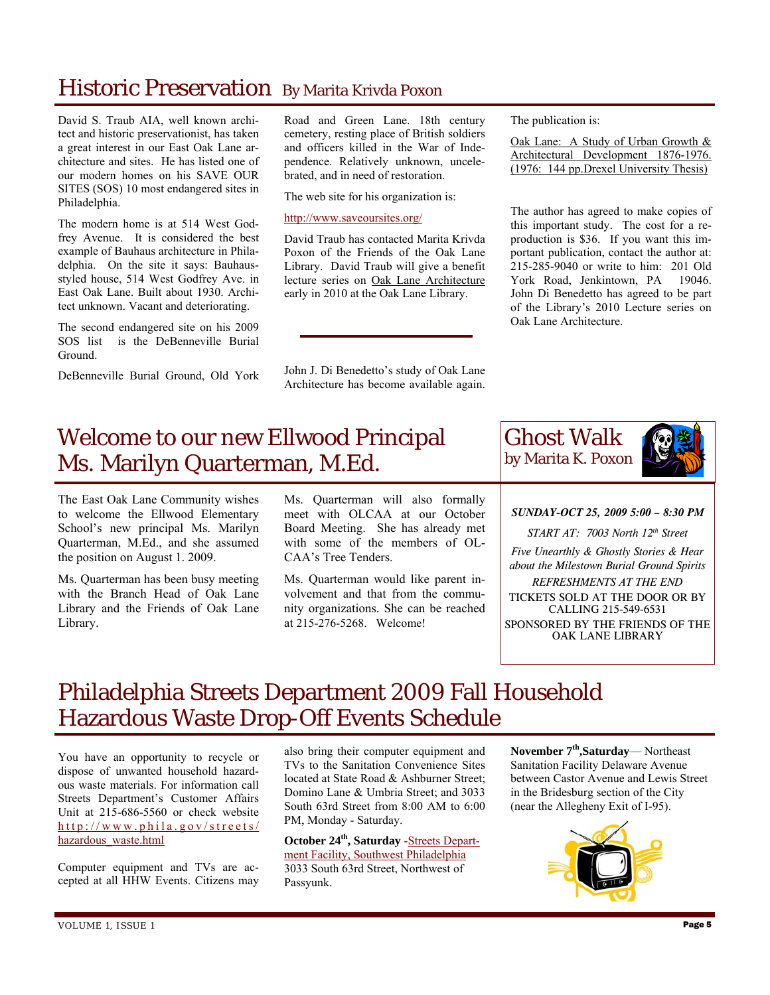# Historic Preservation By Marita Krivda Poxon

David S. Traub AIA, well known architect and historic preservationist, has taken a great interest in our East Oak Lane architecture and sites. He has listed one of our modern homes on his SAVE OUR SITES (SOS) 10 most endangered sites in Philadelphia.

The modern home is at 514 West Godfrey Avenue. It is considered the best example of Bauhaus architecture in Philadelphia. On the site it says: Bauhausstyled house, 514 West Godfrey Ave. in East Oak Lane. Built about 1930. Architect unknown. Vacant and deteriorating.

The second endangered site on his 2009 SOS list is the DeBenneville Burial Ground.

DeBenneville Burial Ground, Old York

Road and Green Lane. 18th century cemetery, resting place of British soldiers and officers killed in the War of Independence. Relatively unknown, uncelebrated, and in need of restoration.

The web site for his organization is:

http://www.saveoursites.org/

David Traub has contacted Marita Krivda Poxon of the Friends of the Oak Lane Library. David Traub will give a benefit lecture series on Oak Lane Architecture early in 2010 at the Oak Lane Library.

John J. Di Benedetto's study of Oak Lane Architecture has become available again. The publication is:

Oak Lane: A Study of Urban Growth & Architectural Development 1876-1976. (1976: 144 pp.Drexel University Thesis)

The author has agreed to make copies of this important study. The cost for a reproduction is \$36. If you want this important publication, contact the author at: 215-285-9040 or write to him: 201 Old York Road, Jenkintown, PA 19046. John Di Benedetto has agreed to be part of the Library's 2010 Lecture series on Oak Lane Architecture.

# Welcome to our new Ellwood Principal Ms. Marilyn Quarterman, M.Ed.

The East Oak Lane Community wishes to welcome the Ellwood Elementary School's new principal Ms. Marilyn Quarterman, M.Ed., and she assumed the position on August 1. 2009.

Ms. Quarterman has been busy meeting with the Branch Head of Oak Lane Library and the Friends of Oak Lane Library.

Ms. Quarterman will also formally meet with OLCAA at our October Board Meeting. She has already met with some of the members of OL-CAA's Tree Tenders.

Ms. Quarterman would like parent involvement and that from the community organizations. She can be reached at 215-276-5268. Welcome!

Ghost Walk by Marita K. Poxon

*SUNDAY-OCT 25, 2009 5:00 – 8:30 PM* 

*START AT: 7003 North 12th Street* 

*Five Unearthly & Ghostly Stories & Hear about the Milestown Burial Ground Spirits* 

*REFRESHMENTS AT THE END*  TICKETS SOLD AT THE DOOR OR BY CALLING 215-549-6531 SPONSORED BY THE FRIENDS OF THE OAK LANE LIBRARY

# Philadelphia Streets Department 2009 Fall Household Hazardous Waste Drop-Off Events Schedule

You have an opportunity to recycle or dispose of unwanted household hazardous waste materials. For information call Streets Department's Customer Affairs Unit at 215-686-5560 or check website http://www.phila.gov/streets/ hazardous\_waste.html

Computer equipment and TVs are accepted at all HHW Events. Citizens may

also bring their computer equipment and TVs to the Sanitation Convenience Sites located at State Road & Ashburner Street; Domino Lane & Umbria Street; and 3033 South 63rd Street from 8:00 AM to 6:00 PM, Monday - Saturday.

**October 24th, Saturday** -Streets Department Facility, Southwest Philadelphia 3033 South 63rd Street, Northwest of Passyunk.

**November 7th,Saturday**— Northeast Sanitation Facility Delaware Avenue between Castor Avenue and Lewis Street in the Bridesburg section of the City (near the Allegheny Exit of I-95).

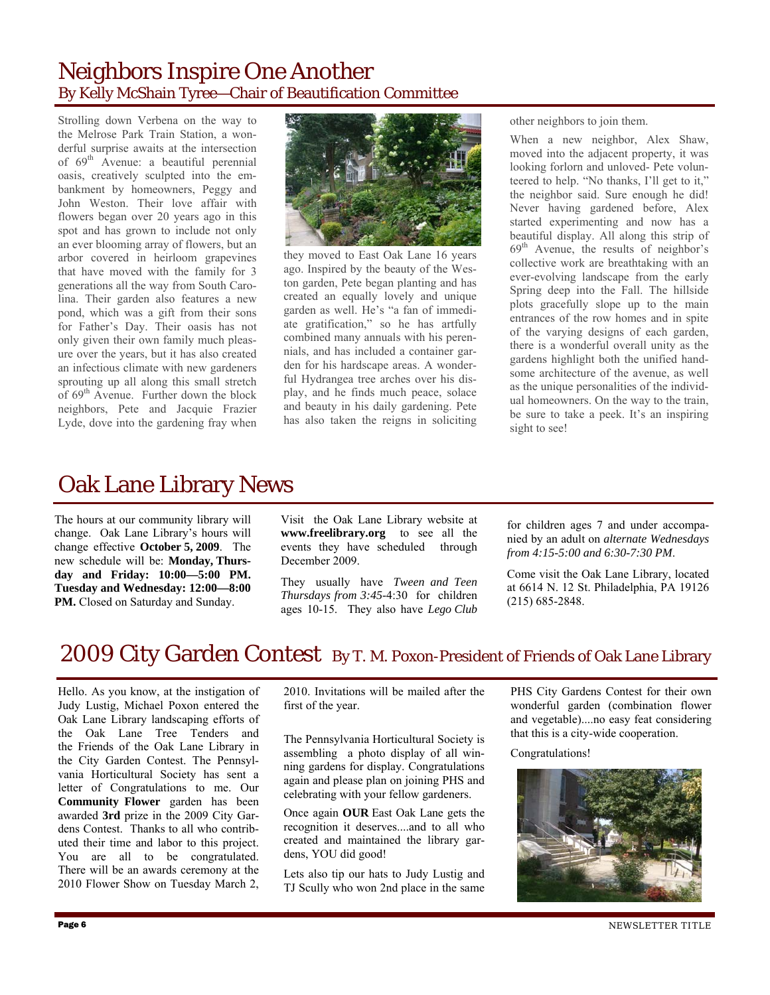### Neighbors Inspire One Another By Kelly McShain Tyree—Chair of Beautification Committee

Strolling down Verbena on the way to the Melrose Park Train Station, a wonderful surprise awaits at the intersection of 69th Avenue: a beautiful perennial oasis, creatively sculpted into the embankment by homeowners, Peggy and John Weston. Their love affair with flowers began over 20 years ago in this spot and has grown to include not only an ever blooming array of flowers, but an arbor covered in heirloom grapevines that have moved with the family for 3 generations all the way from South Carolina. Their garden also features a new pond, which was a gift from their sons for Father's Day. Their oasis has not only given their own family much pleasure over the years, but it has also created an infectious climate with new gardeners sprouting up all along this small stretch of 69th Avenue. Further down the block neighbors, Pete and Jacquie Frazier Lyde, dove into the gardening fray when



they moved to East Oak Lane 16 years ago. Inspired by the beauty of the Weston garden, Pete began planting and has created an equally lovely and unique garden as well. He's "a fan of immediate gratification," so he has artfully combined many annuals with his perennials, and has included a container garden for his hardscape areas. A wonderful Hydrangea tree arches over his display, and he finds much peace, solace and beauty in his daily gardening. Pete has also taken the reigns in soliciting other neighbors to join them.

When a new neighbor, Alex Shaw, moved into the adjacent property, it was looking forlorn and unloved- Pete volunteered to help. "No thanks, I'll get to it," the neighbor said. Sure enough he did! Never having gardened before, Alex started experimenting and now has a beautiful display. All along this strip of 69th Avenue, the results of neighbor's collective work are breathtaking with an ever-evolving landscape from the early Spring deep into the Fall. The hillside plots gracefully slope up to the main entrances of the row homes and in spite of the varying designs of each garden, there is a wonderful overall unity as the gardens highlight both the unified handsome architecture of the avenue, as well as the unique personalities of the individual homeowners. On the way to the train, be sure to take a peek. It's an inspiring sight to see!

# Oak Lane Library News

The hours at our community library will change. Oak Lane Library's hours will change effective **October 5, 2009**. The new schedule will be: **Monday, Thursday and Friday: 10:00—5:00 PM. Tuesday and Wednesday: 12:00—8:00**  PM. Closed on Saturday and Sunday.

Visit the Oak Lane Library website at **www.freelibrary.org** to see all the events they have scheduled through December 2009.

They usually have *Tween and Teen Thursdays from 3:45-*4:30 for children ages 10-15. They also have *Lego Club* 

for children ages 7 and under accompanied by an adult on *alternate Wednesdays from 4:15-5:00 and 6:30-7:30 PM*.

Come visit the Oak Lane Library, located at 6614 N. 12 St. Philadelphia, PA 19126 (215) 685-2848.

### 2009 City Garden Contest By T. M. Poxon-President of Friends of Oak Lane Library

Hello. As you know, at the instigation of Judy Lustig, Michael Poxon entered the Oak Lane Library landscaping efforts of the Oak Lane Tree Tenders and the Friends of the Oak Lane Library in the City Garden Contest. The Pennsylvania Horticultural Society has sent a letter of Congratulations to me. Our **Community Flower** garden has been awarded **3rd** prize in the 2009 City Gardens Contest. Thanks to all who contributed their time and labor to this project. You are all to be congratulated. There will be an awards ceremony at the 2010 Flower Show on Tuesday March 2,

2010. Invitations will be mailed after the first of the year.

The Pennsylvania Horticultural Society is assembling a photo display of all winning gardens for display. Congratulations again and please plan on joining PHS and celebrating with your fellow gardeners.

Once again **OUR** East Oak Lane gets the recognition it deserves....and to all who created and maintained the library gardens, YOU did good!

Lets also tip our hats to Judy Lustig and TJ Scully who won 2nd place in the same PHS City Gardens Contest for their own wonderful garden (combination flower and vegetable)....no easy feat considering that this is a city-wide cooperation.

Congratulations!

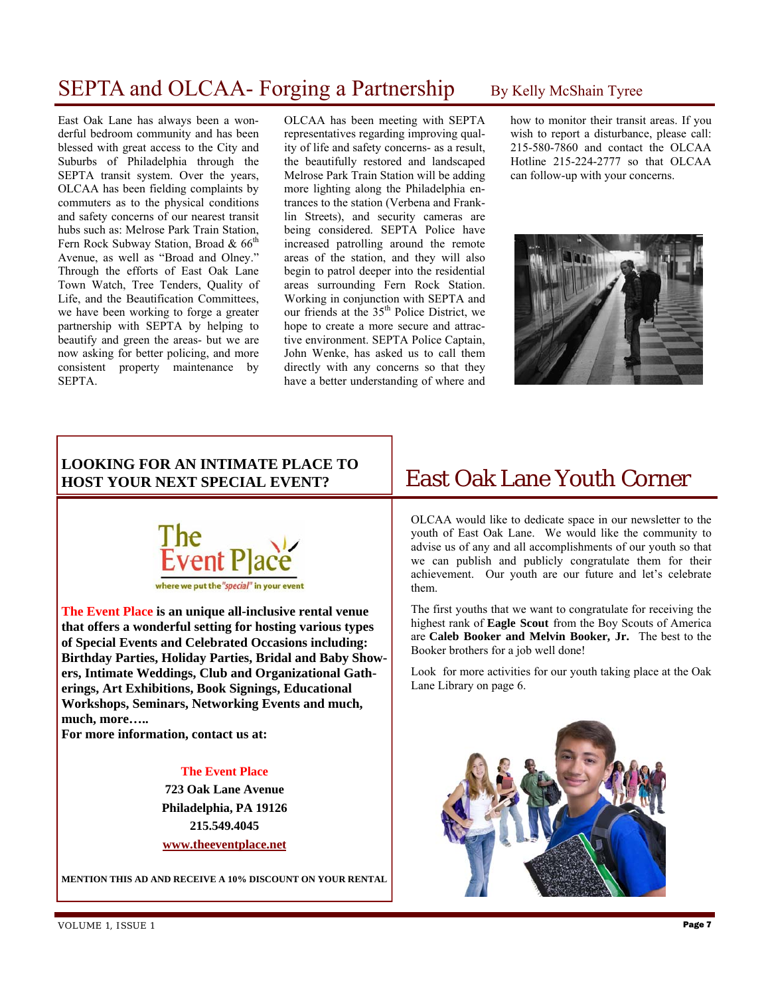### SEPTA and OLCAA- Forging a Partnership By Kelly McShain Tyree

East Oak Lane has always been a wonderful bedroom community and has been blessed with great access to the City and Suburbs of Philadelphia through the SEPTA transit system. Over the years, OLCAA has been fielding complaints by commuters as to the physical conditions and safety concerns of our nearest transit hubs such as: Melrose Park Train Station, Fern Rock Subway Station, Broad &  $66<sup>th</sup>$ Avenue, as well as "Broad and Olney." Through the efforts of East Oak Lane Town Watch, Tree Tenders, Quality of Life, and the Beautification Committees, we have been working to forge a greater partnership with SEPTA by helping to beautify and green the areas- but we are now asking for better policing, and more consistent property maintenance by SEPTA.

OLCAA has been meeting with SEPTA representatives regarding improving quality of life and safety concerns- as a result, the beautifully restored and landscaped Melrose Park Train Station will be adding more lighting along the Philadelphia entrances to the station (Verbena and Franklin Streets), and security cameras are being considered. SEPTA Police have increased patrolling around the remote areas of the station, and they will also begin to patrol deeper into the residential areas surrounding Fern Rock Station. Working in conjunction with SEPTA and our friends at the  $35<sup>th</sup>$  Police District, we hope to create a more secure and attractive environment. SEPTA Police Captain, John Wenke, has asked us to call them directly with any concerns so that they have a better understanding of where and

how to monitor their transit areas. If you wish to report a disturbance, please call: 215-580-7860 and contact the OLCAA Hotline 215-224-2777 so that OLCAA can follow-up with your concerns.



### **LOOKING FOR AN INTIMATE PLACE TO HOST YOUR NEXT SPECIAL EVENT?**



**The Event Place is an unique all-inclusive rental venue that offers a wonderful setting for hosting various types of Special Events and Celebrated Occasions including: Birthday Parties, Holiday Parties, Bridal and Baby Showers, Intimate Weddings, Club and Organizational Gatherings, Art Exhibitions, Book Signings, Educational Workshops, Seminars, Networking Events and much, much, more…..** 

**For more information, contact us at:** 

### **The Event Place**

**723 Oak Lane Avenue Philadelphia, PA 19126 215.549.4045 www.theeventplace.net**

### **MENTION THIS AD AND RECEIVE A 10% DISCOUNT ON YOUR RENTAL**

### East Oak Lane Youth Corner

OLCAA would like to dedicate space in our newsletter to the youth of East Oak Lane. We would like the community to advise us of any and all accomplishments of our youth so that we can publish and publicly congratulate them for their achievement. Our youth are our future and let's celebrate them.

The first youths that we want to congratulate for receiving the highest rank of **Eagle Scout** from the Boy Scouts of America are **Caleb Booker and Melvin Booker, Jr.** The best to the Booker brothers for a job well done!

Look for more activities for our youth taking place at the Oak Lane Library on page 6.

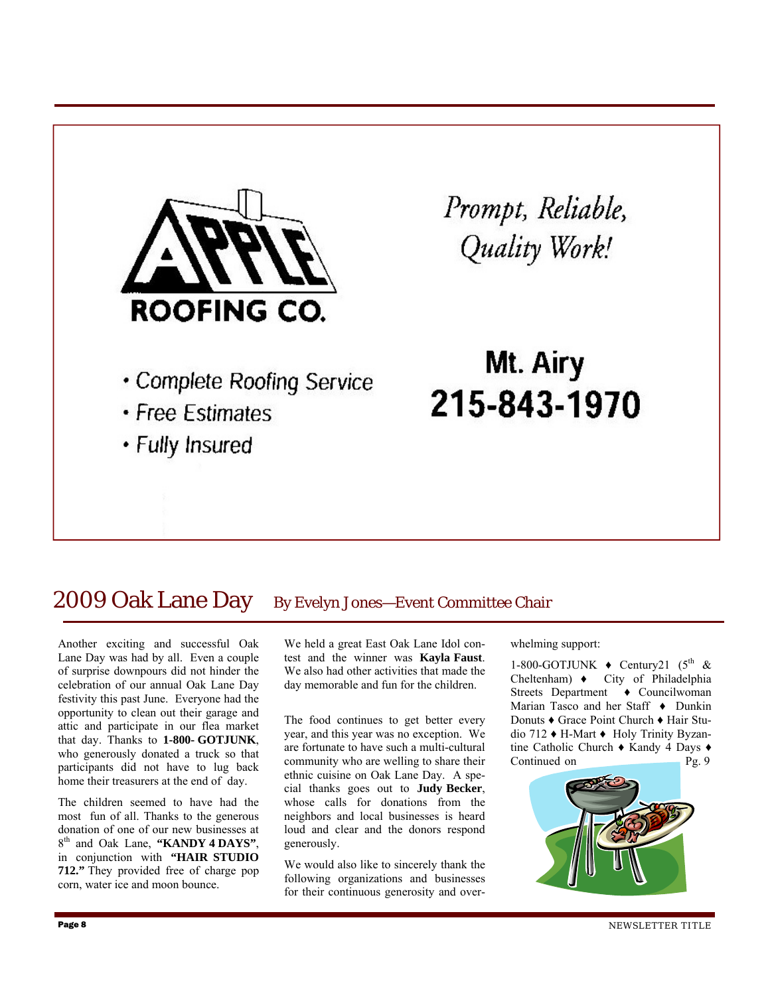

### 2009 Oak Lane Day By Evelyn Jones-Event Committee Chair

Another exciting and successful Oak Lane Day was had by all. Even a couple of surprise downpours did not hinder the celebration of our annual Oak Lane Day festivity this past June. Everyone had the opportunity to clean out their garage and attic and participate in our flea market that day. Thanks to **1-800- GOTJUNK**, who generously donated a truck so that participants did not have to lug back home their treasurers at the end of day.

The children seemed to have had the most fun of all. Thanks to the generous donation of one of our new businesses at 8th and Oak Lane, **"KANDY 4 DAYS"**, in conjunction with **"HAIR STUDIO 712."** They provided free of charge pop corn, water ice and moon bounce.

We held a great East Oak Lane Idol contest and the winner was **Kayla Faust**. We also had other activities that made the day memorable and fun for the children.

The food continues to get better every year, and this year was no exception. We are fortunate to have such a multi-cultural community who are welling to share their ethnic cuisine on Oak Lane Day. A special thanks goes out to **Judy Becker**, whose calls for donations from the neighbors and local businesses is heard loud and clear and the donors respond generously.

We would also like to sincerely thank the following organizations and businesses for their continuous generosity and overwhelming support:

1-800-GOTJUNK  $\bullet$  Century21 (5<sup>th</sup> & Cheltenham) ♦ City of Philadelphia Streets Department ♦ Councilwoman Marian Tasco and her Staff ♦ Dunkin Donuts ♦ Grace Point Church ♦ Hair Studio 712 ♦ H-Mart ♦ Holy Trinity Byzantine Catholic Church ♦ Kandy 4 Days ♦ Continued on Pg. 9

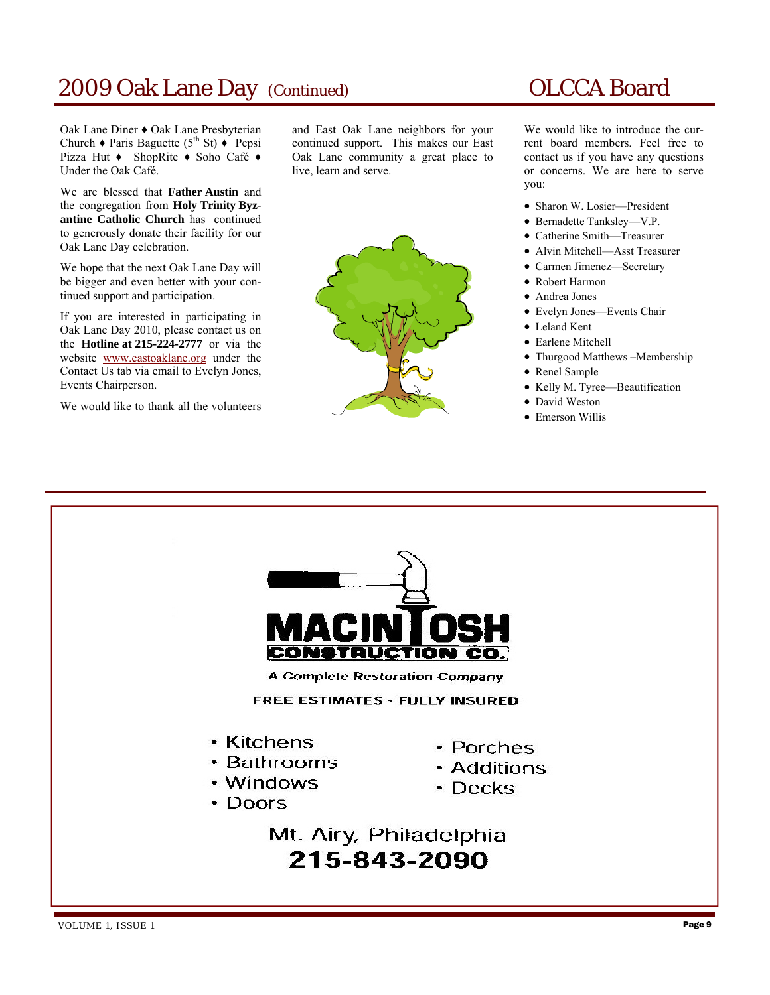### 2009 Oak Lane Day (Continued) OLCCA Board

Oak Lane Diner ♦ Oak Lane Presbyterian Church  $\triangle$  Paris Baguette (5<sup>th</sup> St)  $\triangle$  Pepsi Pizza Hut ♦ ShopRite ♦ Soho Café ♦ Under the Oak Café.

We are blessed that **Father Austin** and the congregation from **Holy Trinity Byzantine Catholic Church** has continued to generously donate their facility for our Oak Lane Day celebration.

We hope that the next Oak Lane Day will be bigger and even better with your continued support and participation.

If you are interested in participating in Oak Lane Day 2010, please contact us on the **Hotline at 215-224-2777** or via the website www.eastoaklane.org under the Contact Us tab via email to Evelyn Jones, Events Chairperson.

We would like to thank all the volunteers

and East Oak Lane neighbors for your continued support. This makes our East Oak Lane community a great place to live, learn and serve.



We would like to introduce the current board members. Feel free to contact us if you have any questions or concerns. We are here to serve you:

- Sharon W. Losier—President
- Bernadette Tanksley—V.P.
- Catherine Smith—Treasurer
- Alvin Mitchell—Asst Treasurer
- Carmen Jimenez—Secretary
- Robert Harmon
- Andrea Jones
- Evelyn Jones—Events Chair
- Leland Kent
- Earlene Mitchell
- Thurgood Matthews –Membership
- Renel Sample
- Kelly M. Tyree—Beautification
- David Weston
- Emerson Willis